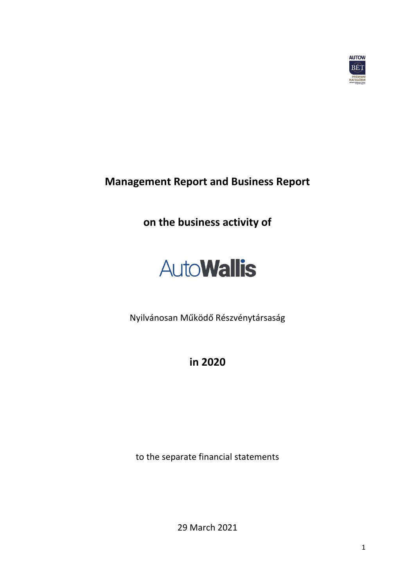

**Management Report and Business Report** 

**on the business activity of**

# **AutoWallis**

Nyilvánosan Működő Részvénytársaság

**in 2020**

to the separate financial statements

29 March 2021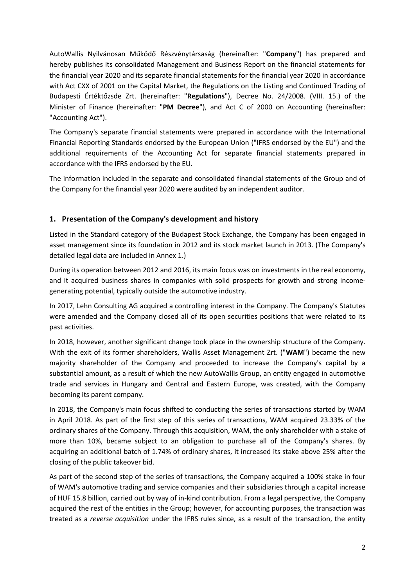AutoWallis Nyilvánosan Működő Részvénytársaság (hereinafter: "**Company**") has prepared and hereby publishes its consolidated Management and Business Report on the financial statements for the financial year 2020 and its separate financial statements for the financial year 2020 in accordance with Act CXX of 2001 on the Capital Market, the Regulations on the Listing and Continued Trading of Budapesti Értéktőzsde Zrt. (hereinafter: "**Regulations**"), Decree No. 24/2008. (VIII. 15.) of the Minister of Finance (hereinafter: "**PM Decree**"), and Act C of 2000 on Accounting (hereinafter: "Accounting Act").

The Company's separate financial statements were prepared in accordance with the International Financial Reporting Standards endorsed by the European Union ("IFRS endorsed by the EU") and the additional requirements of the Accounting Act for separate financial statements prepared in accordance with the IFRS endorsed by the EU.

The information included in the separate and consolidated financial statements of the Group and of the Company for the financial year 2020 were audited by an independent auditor.

## **1. Presentation of the Company's development and history**

Listed in the Standard category of the Budapest Stock Exchange, the Company has been engaged in asset management since its foundation in 2012 and its stock market launch in 2013. (The Company's detailed legal data are included in Annex 1.)

During its operation between 2012 and 2016, its main focus was on investments in the real economy, and it acquired business shares in companies with solid prospects for growth and strong incomegenerating potential, typically outside the automotive industry.

In 2017, Lehn Consulting AG acquired a controlling interest in the Company. The Company's Statutes were amended and the Company closed all of its open securities positions that were related to its past activities.

In 2018, however, another significant change took place in the ownership structure of the Company. With the exit of its former shareholders, Wallis Asset Management Zrt. ("**WAM**") became the new majority shareholder of the Company and proceeded to increase the Company's capital by a substantial amount, as a result of which the new AutoWallis Group, an entity engaged in automotive trade and services in Hungary and Central and Eastern Europe, was created, with the Company becoming its parent company.

In 2018, the Company's main focus shifted to conducting the series of transactions started by WAM in April 2018. As part of the first step of this series of transactions, WAM acquired 23.33% of the ordinary shares of the Company. Through this acquisition, WAM, the only shareholder with a stake of more than 10%, became subject to an obligation to purchase all of the Company's shares. By acquiring an additional batch of 1.74% of ordinary shares, it increased its stake above 25% after the closing of the public takeover bid.

As part of the second step of the series of transactions, the Company acquired a 100% stake in four of WAM's automotive trading and service companies and their subsidiaries through a capital increase of HUF 15.8 billion, carried out by way of in-kind contribution. From a legal perspective, the Company acquired the rest of the entities in the Group; however, for accounting purposes, the transaction was treated as a *reverse acquisition* under the IFRS rules since, as a result of the transaction, the entity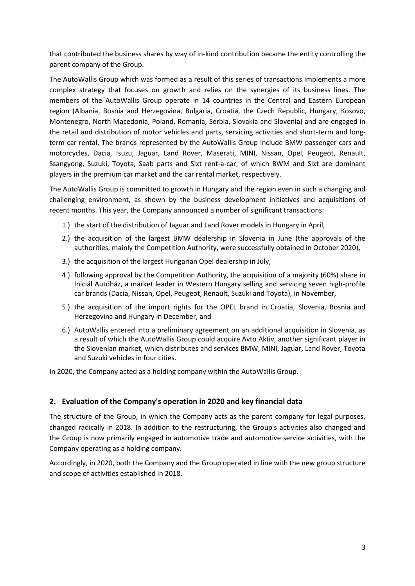that contributed the business shares by way of in-kind contribution became the entity controlling the parent company of the Group.

The AutoWallis Group which was formed as a result of this series of transactions implements a more complex strategy that focuses on growth and relies on the synergies of its business lines. The members of the AutoWallis Group operate in 14 countries in the Central and Eastern European region (Albania, Bosnia and Herzegovina, Bulgaria, Croatia, the Czech Republic, Hungary, Kosovo, Montenegro, North Macedonia, Poland, Romania, Serbia, Slovakia and Slovenia) and are engaged in the retail and distribution of motor vehicles and parts, servicing activities and short-term and longterm car rental. The brands represented by the AutoWallis Group include BMW passenger cars and motorcycles, Dacia, Isuzu, Jaguar, Land Rover, Maserati, MINI, Nissan, Opel, Peugeot, Renault, Ssangyong, Suzuki, Toyota, Saab parts and Sixt rent-a-car, of which BWM and Sixt are dominant players in the premium car market and the car rental market, respectively.

The AutoWallis Group is committed to growth in Hungary and the region even in such a changing and challenging environment, as shown by the business development initiatives and acquisitions of recent months. This year, the Company announced a number of significant transactions:

- 1.) the start of the distribution of Jaguar and Land Rover models in Hungary in April,
- 2.) the acquisition of the largest BMW dealership in Slovenia in June (the approvals of the authorities, mainly the Competition Authority, were successfully obtained in October 2020),
- 3.) the acquisition of the largest Hungarian Opel dealership in July,
- 4.) following approval by the Competition Authority, the acquisition of a majority (60%) share in Iniciál Autóház, a market leader in Western Hungary selling and servicing seven high-profile car brands (Dacia, Nissan, Opel, Peugeot, Renault, Suzuki and Toyota), in November,
- 5.) the acquisition of the import rights for the OPEL brand in Croatia, Slovenia, Bosnia and Herzegovina and Hungary in December, and
- 6.) AutoWallis entered into a preliminary agreement on an additional acquisition in Slovenia, as a result of which the AutoWallis Group could acquire Avto Aktiv, another significant player in the Slovenian market, which distributes and services BMW, MINI, Jaguar, Land Rover, Toyota and Suzuki vehicles in four cities.

In 2020, the Company acted as a holding company within the AutoWallis Group.

#### **2. Evaluation of the Company's operation in 2020 and key financial data**

The structure of the Group, in which the Company acts as the parent company for legal purposes, changed radically in 2018. In addition to the restructuring, the Group's activities also changed and the Group is now primarily engaged in automotive trade and automotive service activities, with the Company operating as a holding company.

Accordingly, in 2020, both the Company and the Group operated in line with the new group structure and scope of activities established in 2018.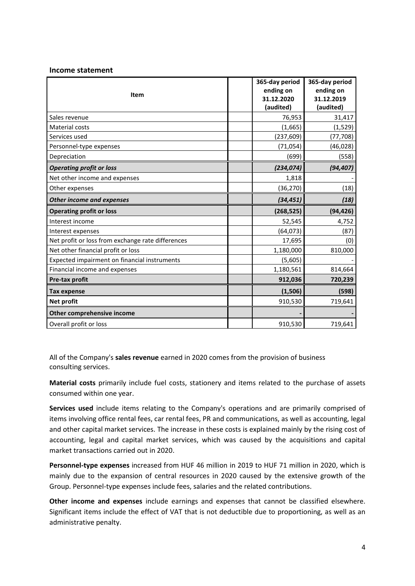#### **Income statement**

| <b>Item</b>                                       | 365-day period<br>ending on<br>31.12.2020<br>(audited) | 365-day period<br>ending on<br>31.12.2019<br>(audited) |
|---------------------------------------------------|--------------------------------------------------------|--------------------------------------------------------|
| Sales revenue                                     | 76,953                                                 | 31,417                                                 |
| Material costs                                    | (1,665)                                                | (1, 529)                                               |
| Services used                                     | (237, 609)                                             | (77, 708)                                              |
| Personnel-type expenses                           | (71, 054)                                              | (46, 028)                                              |
| Depreciation                                      | (699)                                                  | (558)                                                  |
| <b>Operating profit or loss</b>                   | (234, 074)                                             | (94, 407)                                              |
| Net other income and expenses                     | 1,818                                                  |                                                        |
| Other expenses                                    | (36, 270)                                              | (18)                                                   |
| <b>Other income and expenses</b>                  | (34, 451)                                              | (18)                                                   |
| <b>Operating profit or loss</b>                   | (268, 525)                                             | (94, 426)                                              |
| Interest income                                   | 52,545                                                 | 4,752                                                  |
| Interest expenses                                 | (64, 073)                                              | (87)                                                   |
| Net profit or loss from exchange rate differences | 17,695                                                 | (0)                                                    |
| Net other financial profit or loss                | 1,180,000                                              | 810,000                                                |
| Expected impairment on financial instruments      | (5,605)                                                |                                                        |
| Financial income and expenses                     | 1,180,561                                              | 814,664                                                |
| Pre-tax profit                                    | 912,036                                                | 720,239                                                |
| <b>Tax expense</b>                                | (1,506)                                                | (598)                                                  |
| <b>Net profit</b>                                 | 910,530                                                | 719,641                                                |
| Other comprehensive income                        |                                                        |                                                        |
| Overall profit or loss                            | 910,530                                                | 719,641                                                |

All of the Company's **sales revenue** earned in 2020 comes from the provision of business consulting services.

**Material costs** primarily include fuel costs, stationery and items related to the purchase of assets consumed within one year.

**Services used** include items relating to the Company's operations and are primarily comprised of items involving office rental fees, car rental fees, PR and communications, as well as accounting, legal and other capital market services. The increase in these costs is explained mainly by the rising cost of accounting, legal and capital market services, which was caused by the acquisitions and capital market transactions carried out in 2020.

**Personnel-type expenses** increased from HUF 46 million in 2019 to HUF 71 million in 2020, which is mainly due to the expansion of central resources in 2020 caused by the extensive growth of the Group. Personnel-type expenses include fees, salaries and the related contributions.

**Other income and expenses** include earnings and expenses that cannot be classified elsewhere. Significant items include the effect of VAT that is not deductible due to proportioning, as well as an administrative penalty.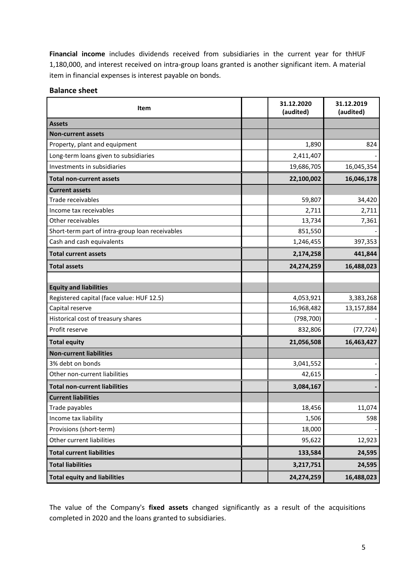**Financial income** includes dividends received from subsidiaries in the current year for thHUF 1,180,000, and interest received on intra-group loans granted is another significant item. A material item in financial expenses is interest payable on bonds.

#### **Balance sheet**

| Item                                            | 31.12.2020<br>(audited) | 31.12.2019<br>(audited) |
|-------------------------------------------------|-------------------------|-------------------------|
| <b>Assets</b>                                   |                         |                         |
| <b>Non-current assets</b>                       |                         |                         |
| Property, plant and equipment                   | 1,890                   | 824                     |
| Long-term loans given to subsidiaries           | 2,411,407               |                         |
| Investments in subsidiaries                     | 19,686,705              | 16,045,354              |
| <b>Total non-current assets</b>                 | 22,100,002              | 16,046,178              |
| <b>Current assets</b>                           |                         |                         |
| Trade receivables                               | 59,807                  | 34,420                  |
| Income tax receivables                          | 2,711                   | 2,711                   |
| Other receivables                               | 13,734                  | 7,361                   |
| Short-term part of intra-group loan receivables | 851,550                 |                         |
| Cash and cash equivalents                       | 1,246,455               | 397,353                 |
| <b>Total current assets</b>                     | 2,174,258               | 441,844                 |
| <b>Total assets</b>                             | 24,274,259              | 16,488,023              |
|                                                 |                         |                         |
| <b>Equity and liabilities</b>                   |                         |                         |
| Registered capital (face value: HUF 12.5)       | 4,053,921               | 3,383,268               |
| Capital reserve                                 | 16,968,482              | 13,157,884              |
| Historical cost of treasury shares              | (798, 700)              |                         |
| Profit reserve                                  | 832,806                 | (77, 724)               |
| <b>Total equity</b>                             | 21,056,508              | 16,463,427              |
| <b>Non-current liabilities</b>                  |                         |                         |
| 3% debt on bonds                                | 3,041,552               |                         |
| Other non-current liabilities                   | 42,615                  |                         |
| <b>Total non-current liabilities</b>            | 3,084,167               |                         |
| <b>Current liabilities</b>                      |                         |                         |
| Trade payables                                  | 18,456                  | 11,074                  |
| Income tax liability                            | 1,506                   | 598                     |
| Provisions (short-term)                         | 18,000                  |                         |
| Other current liabilities                       | 95,622                  | 12,923                  |
| <b>Total current liabilities</b>                | 133,584                 | 24,595                  |
| <b>Total liabilities</b>                        | 3,217,751               | 24,595                  |
| <b>Total equity and liabilities</b>             | 24,274,259              | 16,488,023              |

The value of the Company's **fixed assets** changed significantly as a result of the acquisitions completed in 2020 and the loans granted to subsidiaries.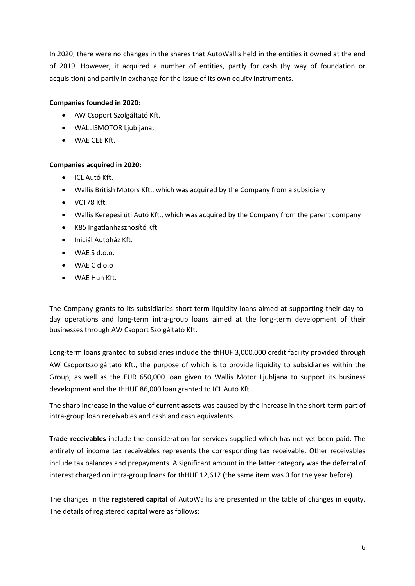In 2020, there were no changes in the shares that AutoWallis held in the entities it owned at the end of 2019. However, it acquired a number of entities, partly for cash (by way of foundation or acquisition) and partly in exchange for the issue of its own equity instruments.

#### **Companies founded in 2020:**

- AW Csoport Szolgáltató Kft.
- WALLISMOTOR Ljubljana;
- WAE CEE Kft.

#### **Companies acquired in 2020:**

- ICL Autó Kft.
- Wallis British Motors Kft., which was acquired by the Company from a subsidiary
- VCT78 Kft.
- Wallis Kerepesi úti Autó Kft., which was acquired by the Company from the parent company
- K85 Ingatlanhasznosító Kft.
- Iniciál Autóház Kft.
- WAE S d.o.o.
- WAE C d.o.o
- WAE Hun Kft.

The Company grants to its subsidiaries short-term liquidity loans aimed at supporting their day-today operations and long-term intra-group loans aimed at the long-term development of their businesses through AW Csoport Szolgáltató Kft.

Long-term loans granted to subsidiaries include the thHUF 3,000,000 credit facility provided through AW Csoportszolgáltató Kft., the purpose of which is to provide liquidity to subsidiaries within the Group, as well as the EUR 650,000 loan given to Wallis Motor Ljubljana to support its business development and the thHUF 86,000 loan granted to ICL Autó Kft.

The sharp increase in the value of **current assets** was caused by the increase in the short-term part of intra-group loan receivables and cash and cash equivalents.

**Trade receivables** include the consideration for services supplied which has not yet been paid. The entirety of income tax receivables represents the corresponding tax receivable. Other receivables include tax balances and prepayments. A significant amount in the latter category was the deferral of interest charged on intra-group loans for thHUF 12,612 (the same item was 0 for the year before).

The changes in the **registered capital** of AutoWallis are presented in the table of changes in equity. The details of registered capital were as follows: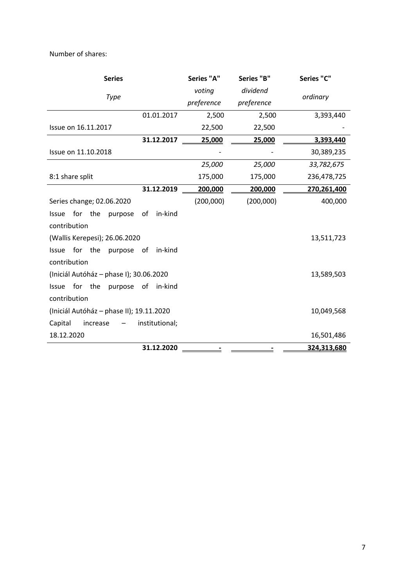Number of shares:

| <b>Series</b>                            |                | Series "A" | Series "B" | Series "C"  |
|------------------------------------------|----------------|------------|------------|-------------|
|                                          |                | voting     | dividend   |             |
| Type                                     |                | preference | preference | ordinary    |
|                                          | 01.01.2017     | 2,500      | 2,500      | 3,393,440   |
| Issue on 16.11.2017                      |                | 22,500     | 22,500     |             |
|                                          | 31.12.2017     | 25,000     | 25,000     | 3,393,440   |
| Issue on 11.10.2018                      |                |            |            | 30,389,235  |
|                                          |                | 25,000     | 25,000     | 33,782,675  |
| 8:1 share split                          |                | 175,000    | 175,000    | 236,478,725 |
|                                          | 31.12.2019     | 200,000    | 200,000    | 270,261,400 |
| Series change; 02.06.2020                |                | (200,000)  | (200,000)  | 400,000     |
| for the<br><b>Issue</b><br>purpose       | in-kind<br>of  |            |            |             |
| contribution                             |                |            |            |             |
| (Wallis Kerepesi); 26.06.2020            |                |            |            | 13,511,723  |
| for the<br><b>Issue</b><br>purpose       | in-kind<br>of  |            |            |             |
| contribution                             |                |            |            |             |
| (Iniciál Autóház – phase I); 30.06.2020  |                |            |            | 13,589,503  |
| for<br>the<br>Issue<br>purpose           | of<br>in-kind  |            |            |             |
| contribution                             |                |            |            |             |
| (Iniciál Autóház - phase II); 19.11.2020 |                |            |            | 10,049,568  |
| Capital<br>increase                      | institutional; |            |            |             |
| 18.12.2020                               |                |            |            | 16,501,486  |
|                                          | 31.12.2020     |            |            | 324,313,680 |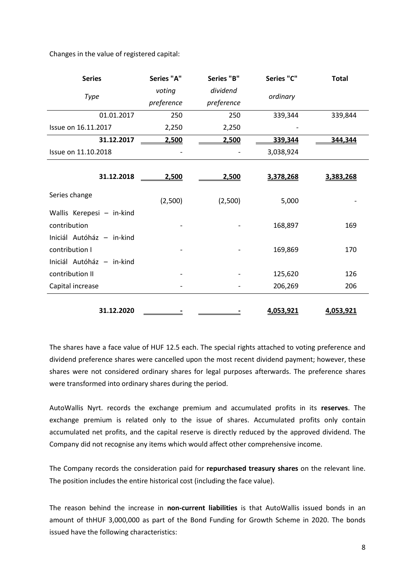Changes in the value of registered capital:

| <b>Series</b>             | Series "A"                   | Series "B" | Series "C" | <b>Total</b> |
|---------------------------|------------------------------|------------|------------|--------------|
| <b>Type</b>               | voting                       | dividend   | ordinary   |              |
|                           | preference                   | preference |            |              |
| 01.01.2017                | 250                          | 250        | 339,344    | 339,844      |
| Issue on 16.11.2017       | 2,250                        | 2,250      |            |              |
| 31.12.2017                | 2,500                        | 2,500      | 339,344    | 344,344      |
| Issue on 11.10.2018       | $\qquad \qquad \blacksquare$ |            | 3,038,924  |              |
|                           |                              |            |            |              |
| 31.12.2018                | 2,500                        | 2,500      | 3,378,268  | 3,383,268    |
| Series change             | (2,500)                      | (2,500)    | 5,000      |              |
| Wallis Kerepesi - in-kind |                              |            |            |              |
| contribution              |                              |            | 168,897    | 169          |
| Iniciál Autóház - in-kind |                              |            |            |              |
| contribution I            |                              |            | 169,869    | 170          |
| Iniciál Autóház - in-kind |                              |            |            |              |
| contribution II           |                              |            | 125,620    | 126          |
| Capital increase          |                              |            | 206,269    | 206          |
|                           |                              |            |            |              |
| 31.12.2020                |                              |            | 4,053,921  | 4,053,921    |

The shares have a face value of HUF 12.5 each. The special rights attached to voting preference and dividend preference shares were cancelled upon the most recent dividend payment; however, these shares were not considered ordinary shares for legal purposes afterwards. The preference shares were transformed into ordinary shares during the period.

AutoWallis Nyrt. records the exchange premium and accumulated profits in its **reserves**. The exchange premium is related only to the issue of shares. Accumulated profits only contain accumulated net profits, and the capital reserve is directly reduced by the approved dividend. The Company did not recognise any items which would affect other comprehensive income.

The Company records the consideration paid for **repurchased treasury shares** on the relevant line. The position includes the entire historical cost (including the face value).

The reason behind the increase in **non-current liabilities** is that AutoWallis issued bonds in an amount of thHUF 3,000,000 as part of the Bond Funding for Growth Scheme in 2020. The bonds issued have the following characteristics: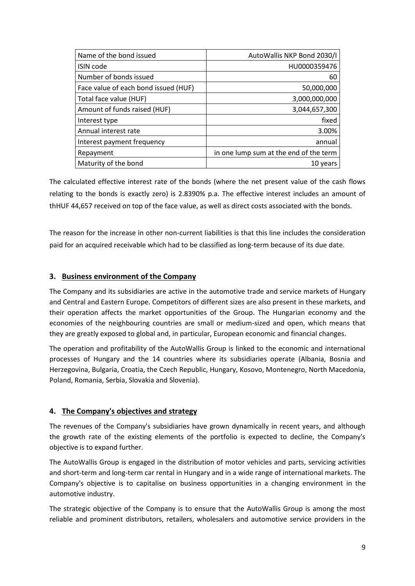| Name of the bond issued              | AutoWallis NKP Bond 2030/I             |
|--------------------------------------|----------------------------------------|
| <b>ISIN</b> code                     | HU0000359476                           |
| Number of bonds issued               | 60                                     |
| Face value of each bond issued (HUF) | 50,000,000                             |
| Total face value (HUF)               | 3,000,000,000                          |
| Amount of funds raised (HUF)         | 3,044,657,300                          |
| Interest type                        | fixed                                  |
| Annual interest rate                 | 3.00%                                  |
| Interest payment frequency           | annual                                 |
| Repayment                            | in one lump sum at the end of the term |
| Maturity of the bond                 | 10 years                               |

The calculated effective interest rate of the bonds (where the net present value of the cash flows relating to the bonds is exactly zero) is 2.8390% p.a. The effective interest includes an amount of thHUF 44,657 received on top of the face value, as well as direct costs associated with the bonds.

The reason for the increase in other non-current liabilities is that this line includes the consideration paid for an acquired receivable which had to be classified as long-term because of its due date.

#### **3. Business environment of the Company**

The Company and its subsidiaries are active in the automotive trade and service markets of Hungary and Central and Eastern Europe. Competitors of different sizes are also present in these markets, and their operation affects the market opportunities of the Group. The Hungarian economy and the economies of the neighbouring countries are small or medium-sized and open, which means that they are greatly exposed to global and, in particular, European economic and financial changes.

The operation and profitability of the AutoWallis Group is linked to the economic and international processes of Hungary and the 14 countries where its subsidiaries operate (Albania, Bosnia and Herzegovina, Bulgaria, Croatia, the Czech Republic, Hungary, Kosovo, Montenegro, North Macedonia, Poland, Romania, Serbia, Slovakia and Slovenia).

### **4. The Company's objectives and strategy**

The revenues of the Company's subsidiaries have grown dynamically in recent years, and although the growth rate of the existing elements of the portfolio is expected to decline, the Company's objective is to expand further.

The AutoWallis Group is engaged in the distribution of motor vehicles and parts, servicing activities and short-term and long-term car rental in Hungary and in a wide range of international markets. The Company's objective is to capitalise on business opportunities in a changing environment in the automotive industry.

The strategic objective of the Company is to ensure that the AutoWallis Group is among the most reliable and prominent distributors, retailers, wholesalers and automotive service providers in the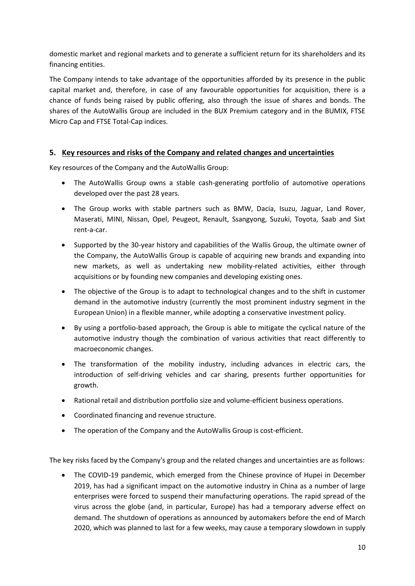domestic market and regional markets and to generate a sufficient return for its shareholders and its financing entities.

The Company intends to take advantage of the opportunities afforded by its presence in the public capital market and, therefore, in case of any favourable opportunities for acquisition, there is a chance of funds being raised by public offering, also through the issue of shares and bonds. The shares of the AutoWallis Group are included in the BUX Premium category and in the BUMIX, FTSE Micro Cap and FTSE Total-Cap indices.

### **5. Key resources and risks of the Company and related changes and uncertainties**

Key resources of the Company and the AutoWallis Group:

- The AutoWallis Group owns a stable cash-generating portfolio of automotive operations developed over the past 28 years.
- The Group works with stable partners such as BMW, Dacia, Isuzu, Jaguar, Land Rover, Maserati, MINI, Nissan, Opel, Peugeot, Renault, Ssangyong, Suzuki, Toyota, Saab and Sixt rent-a-car.
- Supported by the 30-year history and capabilities of the Wallis Group, the ultimate owner of the Company, the AutoWallis Group is capable of acquiring new brands and expanding into new markets, as well as undertaking new mobility-related activities, either through acquisitions or by founding new companies and developing existing ones.
- The objective of the Group is to adapt to technological changes and to the shift in customer demand in the automotive industry (currently the most prominent industry segment in the European Union) in a flexible manner, while adopting a conservative investment policy.
- By using a portfolio-based approach, the Group is able to mitigate the cyclical nature of the automotive industry though the combination of various activities that react differently to macroeconomic changes.
- The transformation of the mobility industry, including advances in electric cars, the introduction of self-driving vehicles and car sharing, presents further opportunities for growth.
- Rational retail and distribution portfolio size and volume-efficient business operations.
- Coordinated financing and revenue structure.
- The operation of the Company and the AutoWallis Group is cost-efficient.

The key risks faced by the Company's group and the related changes and uncertainties are as follows:

• The COVID-19 pandemic, which emerged from the Chinese province of Hupei in December 2019, has had a significant impact on the automotive industry in China as a number of large enterprises were forced to suspend their manufacturing operations. The rapid spread of the virus across the globe (and, in particular, Europe) has had a temporary adverse effect on demand. The shutdown of operations as announced by automakers before the end of March 2020, which was planned to last for a few weeks, may cause a temporary slowdown in supply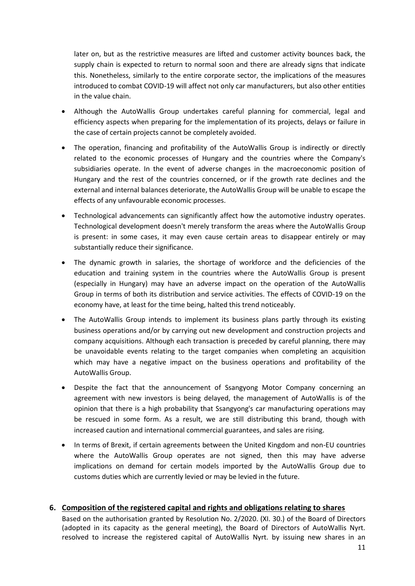later on, but as the restrictive measures are lifted and customer activity bounces back, the supply chain is expected to return to normal soon and there are already signs that indicate this. Nonetheless, similarly to the entire corporate sector, the implications of the measures introduced to combat COVID-19 will affect not only car manufacturers, but also other entities in the value chain.

- Although the AutoWallis Group undertakes careful planning for commercial, legal and efficiency aspects when preparing for the implementation of its projects, delays or failure in the case of certain projects cannot be completely avoided.
- The operation, financing and profitability of the AutoWallis Group is indirectly or directly related to the economic processes of Hungary and the countries where the Company's subsidiaries operate. In the event of adverse changes in the macroeconomic position of Hungary and the rest of the countries concerned, or if the growth rate declines and the external and internal balances deteriorate, the AutoWallis Group will be unable to escape the effects of any unfavourable economic processes.
- Technological advancements can significantly affect how the automotive industry operates. Technological development doesn't merely transform the areas where the AutoWallis Group is present: in some cases, it may even cause certain areas to disappear entirely or may substantially reduce their significance.
- The dynamic growth in salaries, the shortage of workforce and the deficiencies of the education and training system in the countries where the AutoWallis Group is present (especially in Hungary) may have an adverse impact on the operation of the AutoWallis Group in terms of both its distribution and service activities. The effects of COVID-19 on the economy have, at least for the time being, halted this trend noticeably.
- The AutoWallis Group intends to implement its business plans partly through its existing business operations and/or by carrying out new development and construction projects and company acquisitions. Although each transaction is preceded by careful planning, there may be unavoidable events relating to the target companies when completing an acquisition which may have a negative impact on the business operations and profitability of the AutoWallis Group.
- Despite the fact that the announcement of Ssangyong Motor Company concerning an agreement with new investors is being delayed, the management of AutoWallis is of the opinion that there is a high probability that Ssangyong's car manufacturing operations may be rescued in some form. As a result, we are still distributing this brand, though with increased caution and international commercial guarantees, and sales are rising.
- In terms of Brexit, if certain agreements between the United Kingdom and non-EU countries where the AutoWallis Group operates are not signed, then this may have adverse implications on demand for certain models imported by the AutoWallis Group due to customs duties which are currently levied or may be levied in the future.

#### **6. Composition of the registered capital and rights and obligations relating to shares**

Based on the authorisation granted by Resolution No. 2/2020. (XI. 30.) of the Board of Directors (adopted in its capacity as the general meeting), the Board of Directors of AutoWallis Nyrt. resolved to increase the registered capital of AutoWallis Nyrt. by issuing new shares in an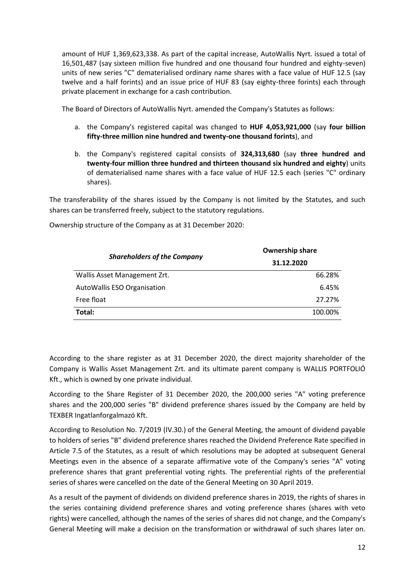amount of HUF 1,369,623,338. As part of the capital increase, AutoWallis Nyrt. issued a total of 16,501,487 (say sixteen million five hundred and one thousand four hundred and eighty-seven) units of new series "C" dematerialised ordinary name shares with a face value of HUF 12.5 (say twelve and a half forints) and an issue price of HUF 83 (say eighty-three forints) each through private placement in exchange for a cash contribution.

The Board of Directors of AutoWallis Nyrt. amended the Company's Statutes as follows:

- a. the Company's registered capital was changed to **HUF 4,053,921,000** (say **four billion fifty-three million nine hundred and twenty-one thousand forints**), and
- b. the Company's registered capital consists of **324,313,680** (say **three hundred and twenty-four million three hundred and thirteen thousand six hundred and eighty**) units of dematerialised name shares with a face value of HUF 12.5 each (series "C" ordinary shares).

The transferability of the shares issued by the Company is not limited by the Statutes, and such shares can be transferred freely, subject to the statutory regulations.

| <b>Shareholders of the Company</b> | <b>Ownership share</b> |  |
|------------------------------------|------------------------|--|
|                                    | 31.12.2020             |  |
| Wallis Asset Management Zrt.       | 66.28%                 |  |
| AutoWallis ESO Organisation        | 6.45%                  |  |
| Free float                         | 27.27%                 |  |
| Total:                             | 100.00%                |  |

Ownership structure of the Company as at 31 December 2020:

According to the share register as at 31 December 2020, the direct majority shareholder of the Company is Wallis Asset Management Zrt. and its ultimate parent company is WALLIS PORTFOLIÓ Kft., which is owned by one private individual.

According to the Share Register of 31 December 2020, the 200,000 series "A" voting preference shares and the 200,000 series "B" dividend preference shares issued by the Company are held by TEXBER Ingatlanforgalmazó Kft.

According to Resolution No. 7/2019 (IV.30.) of the General Meeting, the amount of dividend payable to holders of series "B" dividend preference shares reached the Dividend Preference Rate specified in Article 7.5 of the Statutes, as a result of which resolutions may be adopted at subsequent General Meetings even in the absence of a separate affirmative vote of the Company's series "A" voting preference shares that grant preferential voting rights. The preferential rights of the preferential series of shares were cancelled on the date of the General Meeting on 30 April 2019.

As a result of the payment of dividends on dividend preference shares in 2019, the rights of shares in the series containing dividend preference shares and voting preference shares (shares with veto rights) were cancelled, although the names of the series of shares did not change, and the Company's General Meeting will make a decision on the transformation or withdrawal of such shares later on.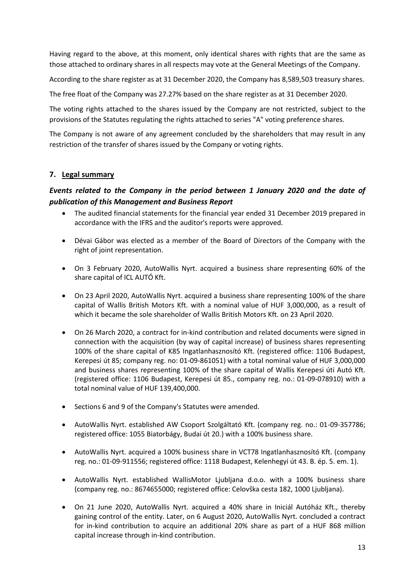Having regard to the above, at this moment, only identical shares with rights that are the same as those attached to ordinary shares in all respects may vote at the General Meetings of the Company.

According to the share register as at 31 December 2020, the Company has 8,589,503 treasury shares.

The free float of the Company was 27.27% based on the share register as at 31 December 2020.

The voting rights attached to the shares issued by the Company are not restricted, subject to the provisions of the Statutes regulating the rights attached to series "A" voting preference shares.

The Company is not aware of any agreement concluded by the shareholders that may result in any restriction of the transfer of shares issued by the Company or voting rights.

#### **7. Legal summary**

### *Events related to the Company in the period between 1 January 2020 and the date of publication of this Management and Business Report*

- The audited financial statements for the financial year ended 31 December 2019 prepared in accordance with the IFRS and the auditor's reports were approved.
- Dévai Gábor was elected as a member of the Board of Directors of the Company with the right of joint representation.
- On 3 February 2020, AutoWallis Nyrt. acquired a business share representing 60% of the share capital of ICL AUTÓ Kft.
- On 23 April 2020, AutoWallis Nyrt. acquired a business share representing 100% of the share capital of Wallis British Motors Kft. with a nominal value of HUF 3,000,000, as a result of which it became the sole shareholder of Wallis British Motors Kft. on 23 April 2020.
- On 26 March 2020, a contract for in-kind contribution and related documents were signed in connection with the acquisition (by way of capital increase) of business shares representing 100% of the share capital of K85 Ingatlanhasznosító Kft. (registered office: 1106 Budapest, Kerepesi út 85; company reg. no: 01-09-861051) with a total nominal value of HUF 3,000,000 and business shares representing 100% of the share capital of Wallis Kerepesi úti Autó Kft. (registered office: 1106 Budapest, Kerepesi út 85., company reg. no.: 01-09-078910) with a total nominal value of HUF 139,400,000.
- Sections 6 and 9 of the Company's Statutes were amended.
- AutoWallis Nyrt. established AW Csoport Szolgáltató Kft. (company reg. no.: 01-09-357786; registered office: 1055 Biatorbágy, Budai út 20.) with a 100% business share.
- AutoWallis Nyrt. acquired a 100% business share in VCT78 Ingatlanhasznosító Kft. (company reg. no.: 01-09-911556; registered office: 1118 Budapest, Kelenhegyi út 43. B. ép. 5. em. 1).
- AutoWallis Nyrt. established WallisMotor Ljubljana d.o.o. with a 100% business share (company reg. no.: 8674655000; registered office: Celovška cesta 182, 1000 Ljubljana).
- On 21 June 2020, AutoWallis Nyrt. acquired a 40% share in Iniciál Autóház Kft., thereby gaining control of the entity. Later, on 6 August 2020, AutoWallis Nyrt. concluded a contract for in-kind contribution to acquire an additional 20% share as part of a HUF 868 million capital increase through in-kind contribution.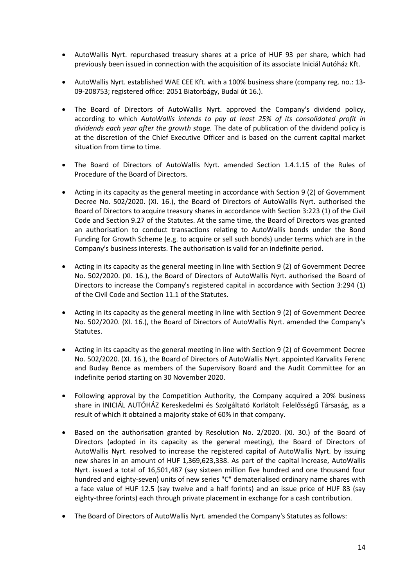- AutoWallis Nyrt. repurchased treasury shares at a price of HUF 93 per share, which had previously been issued in connection with the acquisition of its associate Iniciál Autóház Kft.
- AutoWallis Nyrt. established WAE CEE Kft. with a 100% business share (company reg. no.: 13- 09-208753; registered office: 2051 Biatorbágy, Budai út 16.).
- The Board of Directors of AutoWallis Nyrt. approved the Company's dividend policy, according to which *AutoWallis intends to pay at least 25% of its consolidated profit in dividends each year after the growth stage.* The date of publication of the dividend policy is at the discretion of the Chief Executive Officer and is based on the current capital market situation from time to time.
- The Board of Directors of AutoWallis Nyrt. amended Section 1.4.1.15 of the Rules of Procedure of the Board of Directors.
- Acting in its capacity as the general meeting in accordance with Section 9 (2) of Government Decree No. 502/2020. (XI. 16.), the Board of Directors of AutoWallis Nyrt. authorised the Board of Directors to acquire treasury shares in accordance with Section 3:223 (1) of the Civil Code and Section 9.27 of the Statutes. At the same time, the Board of Directors was granted an authorisation to conduct transactions relating to AutoWallis bonds under the Bond Funding for Growth Scheme (e.g. to acquire or sell such bonds) under terms which are in the Company's business interests. The authorisation is valid for an indefinite period.
- Acting in its capacity as the general meeting in line with Section 9 (2) of Government Decree No. 502/2020. (XI. 16.), the Board of Directors of AutoWallis Nyrt. authorised the Board of Directors to increase the Company's registered capital in accordance with Section 3:294 (1) of the Civil Code and Section 11.1 of the Statutes.
- Acting in its capacity as the general meeting in line with Section 9 (2) of Government Decree No. 502/2020. (XI. 16.), the Board of Directors of AutoWallis Nyrt. amended the Company's Statutes.
- Acting in its capacity as the general meeting in line with Section 9 (2) of Government Decree No. 502/2020. (XI. 16.), the Board of Directors of AutoWallis Nyrt. appointed Karvalits Ferenc and Buday Bence as members of the Supervisory Board and the Audit Committee for an indefinite period starting on 30 November 2020.
- Following approval by the Competition Authority, the Company acquired a 20% business share in INICIÁL AUTÓHÁZ Kereskedelmi és Szolgáltató Korlátolt Felelősségű Társaság, as a result of which it obtained a majority stake of 60% in that company.
- Based on the authorisation granted by Resolution No. 2/2020. (XI. 30.) of the Board of Directors (adopted in its capacity as the general meeting), the Board of Directors of AutoWallis Nyrt. resolved to increase the registered capital of AutoWallis Nyrt. by issuing new shares in an amount of HUF 1,369,623,338. As part of the capital increase, AutoWallis Nyrt. issued a total of 16,501,487 (say sixteen million five hundred and one thousand four hundred and eighty-seven) units of new series "C" dematerialised ordinary name shares with a face value of HUF 12.5 (say twelve and a half forints) and an issue price of HUF 83 (say eighty-three forints) each through private placement in exchange for a cash contribution.
- The Board of Directors of AutoWallis Nyrt. amended the Company's Statutes as follows: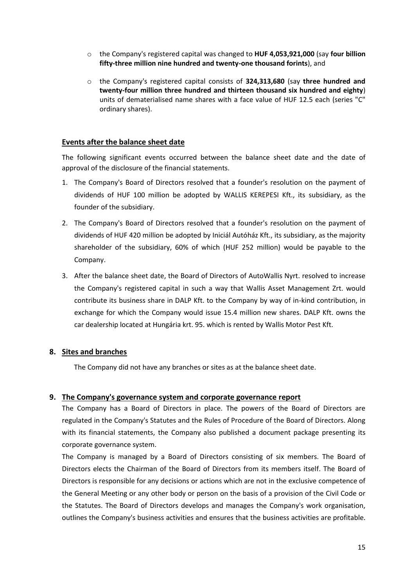- o the Company's registered capital was changed to **HUF 4,053,921,000** (say **four billion fifty-three million nine hundred and twenty-one thousand forints**), and
- o the Company's registered capital consists of **324,313,680** (say **three hundred and twenty-four million three hundred and thirteen thousand six hundred and eighty**) units of dematerialised name shares with a face value of HUF 12.5 each (series "C" ordinary shares).

#### **Events after the balance sheet date**

The following significant events occurred between the balance sheet date and the date of approval of the disclosure of the financial statements.

- 1. The Company's Board of Directors resolved that a founder's resolution on the payment of dividends of HUF 100 million be adopted by WALLIS KEREPESI Kft., its subsidiary, as the founder of the subsidiary.
- 2. The Company's Board of Directors resolved that a founder's resolution on the payment of dividends of HUF 420 million be adopted by Iniciál Autóház Kft., its subsidiary, as the majority shareholder of the subsidiary, 60% of which (HUF 252 million) would be payable to the Company.
- 3. After the balance sheet date, the Board of Directors of AutoWallis Nyrt. resolved to increase the Company's registered capital in such a way that Wallis Asset Management Zrt. would contribute its business share in DALP Kft. to the Company by way of in-kind contribution, in exchange for which the Company would issue 15.4 million new shares. DALP Kft. owns the car dealership located at Hungária krt. 95. which is rented by Wallis Motor Pest Kft.

#### **8. Sites and branches**

The Company did not have any branches or sites as at the balance sheet date.

#### **9. The Company's governance system and corporate governance report**

The Company has a Board of Directors in place. The powers of the Board of Directors are regulated in the Company's Statutes and the Rules of Procedure of the Board of Directors. Along with its financial statements, the Company also published a document package presenting its corporate governance system.

The Company is managed by a Board of Directors consisting of six members. The Board of Directors elects the Chairman of the Board of Directors from its members itself. The Board of Directors is responsible for any decisions or actions which are not in the exclusive competence of the General Meeting or any other body or person on the basis of a provision of the Civil Code or the Statutes. The Board of Directors develops and manages the Company's work organisation, outlines the Company's business activities and ensures that the business activities are profitable.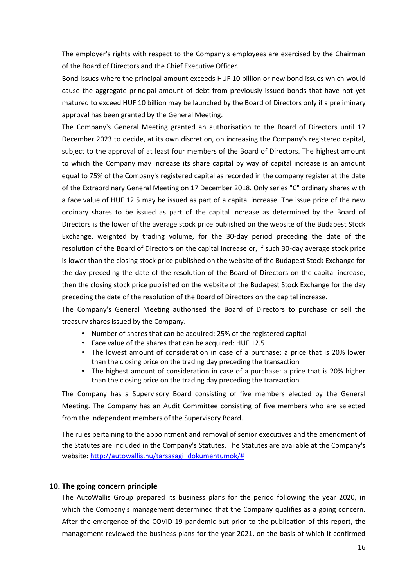The employer's rights with respect to the Company's employees are exercised by the Chairman of the Board of Directors and the Chief Executive Officer.

Bond issues where the principal amount exceeds HUF 10 billion or new bond issues which would cause the aggregate principal amount of debt from previously issued bonds that have not yet matured to exceed HUF 10 billion may be launched by the Board of Directors only if a preliminary approval has been granted by the General Meeting.

The Company's General Meeting granted an authorisation to the Board of Directors until 17 December 2023 to decide, at its own discretion, on increasing the Company's registered capital, subject to the approval of at least four members of the Board of Directors. The highest amount to which the Company may increase its share capital by way of capital increase is an amount equal to 75% of the Company's registered capital as recorded in the company register at the date of the Extraordinary General Meeting on 17 December 2018. Only series "C" ordinary shares with a face value of HUF 12.5 may be issued as part of a capital increase. The issue price of the new ordinary shares to be issued as part of the capital increase as determined by the Board of Directors is the lower of the average stock price published on the website of the Budapest Stock Exchange, weighted by trading volume, for the 30-day period preceding the date of the resolution of the Board of Directors on the capital increase or, if such 30-day average stock price is lower than the closing stock price published on the website of the Budapest Stock Exchange for the day preceding the date of the resolution of the Board of Directors on the capital increase, then the closing stock price published on the website of the Budapest Stock Exchange for the day preceding the date of the resolution of the Board of Directors on the capital increase.

The Company's General Meeting authorised the Board of Directors to purchase or sell the treasury shares issued by the Company.

- Number of shares that can be acquired: 25% of the registered capital
- Face value of the shares that can be acquired: HUF 12.5
- The lowest amount of consideration in case of a purchase: a price that is 20% lower than the closing price on the trading day preceding the transaction
- The highest amount of consideration in case of a purchase: a price that is 20% higher than the closing price on the trading day preceding the transaction.

The Company has a Supervisory Board consisting of five members elected by the General Meeting. The Company has an Audit Committee consisting of five members who are selected from the independent members of the Supervisory Board.

The rules pertaining to the appointment and removal of senior executives and the amendment of the Statutes are included in the Company's Statutes. The Statutes are available at the Company's website[: http://autowallis.hu/tarsasagi\\_dokumentumok/#](http://autowallis.hu/tarsasagi_dokumentumok/) 

#### **10. The going concern principle**

The AutoWallis Group prepared its business plans for the period following the year 2020, in which the Company's management determined that the Company qualifies as a going concern. After the emergence of the COVID-19 pandemic but prior to the publication of this report, the management reviewed the business plans for the year 2021, on the basis of which it confirmed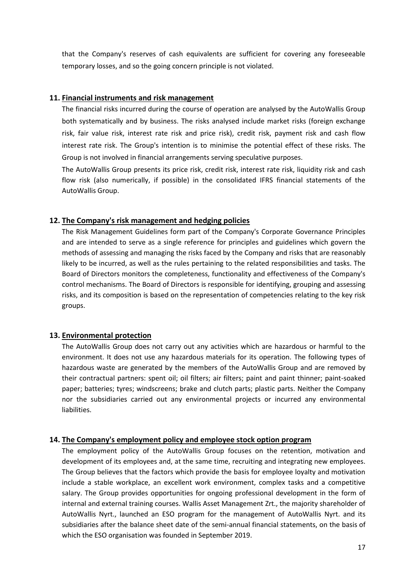that the Company's reserves of cash equivalents are sufficient for covering any foreseeable temporary losses, and so the going concern principle is not violated.

#### **11. Financial instruments and risk management**

The financial risks incurred during the course of operation are analysed by the AutoWallis Group both systematically and by business. The risks analysed include market risks (foreign exchange risk, fair value risk, interest rate risk and price risk), credit risk, payment risk and cash flow interest rate risk. The Group's intention is to minimise the potential effect of these risks. The Group is not involved in financial arrangements serving speculative purposes.

The AutoWallis Group presents its price risk, credit risk, interest rate risk, liquidity risk and cash flow risk (also numerically, if possible) in the consolidated IFRS financial statements of the AutoWallis Group.

#### **12. The Company's risk management and hedging policies**

The Risk Management Guidelines form part of the Company's Corporate Governance Principles and are intended to serve as a single reference for principles and guidelines which govern the methods of assessing and managing the risks faced by the Company and risks that are reasonably likely to be incurred, as well as the rules pertaining to the related responsibilities and tasks. The Board of Directors monitors the completeness, functionality and effectiveness of the Company's control mechanisms. The Board of Directors is responsible for identifying, grouping and assessing risks, and its composition is based on the representation of competencies relating to the key risk groups.

#### **13. Environmental protection**

The AutoWallis Group does not carry out any activities which are hazardous or harmful to the environment. It does not use any hazardous materials for its operation. The following types of hazardous waste are generated by the members of the AutoWallis Group and are removed by their contractual partners: spent oil; oil filters; air filters; paint and paint thinner; paint-soaked paper; batteries; tyres; windscreens; brake and clutch parts; plastic parts. Neither the Company nor the subsidiaries carried out any environmental projects or incurred any environmental liabilities.

#### **14. The Company's employment policy and employee stock option program**

The employment policy of the AutoWallis Group focuses on the retention, motivation and development of its employees and, at the same time, recruiting and integrating new employees. The Group believes that the factors which provide the basis for employee loyalty and motivation include a stable workplace, an excellent work environment, complex tasks and a competitive salary. The Group provides opportunities for ongoing professional development in the form of internal and external training courses. Wallis Asset Management Zrt., the majority shareholder of AutoWallis Nyrt., launched an ESO program for the management of AutoWallis Nyrt. and its subsidiaries after the balance sheet date of the semi-annual financial statements, on the basis of which the ESO organisation was founded in September 2019.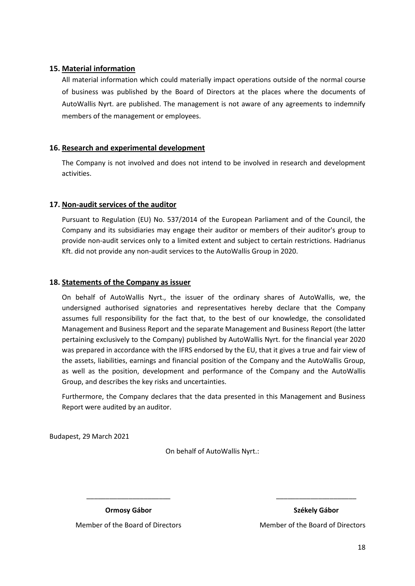#### **15. Material information**

All material information which could materially impact operations outside of the normal course of business was published by the Board of Directors at the places where the documents of AutoWallis Nyrt. are published. The management is not aware of any agreements to indemnify members of the management or employees.

#### **16. Research and experimental development**

The Company is not involved and does not intend to be involved in research and development activities.

#### **17. Non-audit services of the auditor**

Pursuant to Regulation (EU) No. 537/2014 of the European Parliament and of the Council, the Company and its subsidiaries may engage their auditor or members of their auditor's group to provide non-audit services only to a limited extent and subject to certain restrictions. Hadrianus Kft. did not provide any non-audit services to the AutoWallis Group in 2020.

#### **18. Statements of the Company as issuer**

On behalf of AutoWallis Nyrt., the issuer of the ordinary shares of AutoWallis, we, the undersigned authorised signatories and representatives hereby declare that the Company assumes full responsibility for the fact that, to the best of our knowledge, the consolidated Management and Business Report and the separate Management and Business Report (the latter pertaining exclusively to the Company) published by AutoWallis Nyrt. for the financial year 2020 was prepared in accordance with the IFRS endorsed by the EU, that it gives a true and fair view of the assets, liabilities, earnings and financial position of the Company and the AutoWallis Group, as well as the position, development and performance of the Company and the AutoWallis Group, and describes the key risks and uncertainties.

Furthermore, the Company declares that the data presented in this Management and Business Report were audited by an auditor.

Budapest, 29 March 2021

On behalf of AutoWallis Nyrt.:

\_\_\_\_\_\_\_\_\_\_\_\_\_\_\_\_\_\_\_\_\_\_ \_\_\_\_\_\_\_\_\_\_\_\_\_\_\_\_\_\_\_\_\_

**Ormosy Gábor Székely Gábor**

Member of the Board of Directors Member of the Board of Directors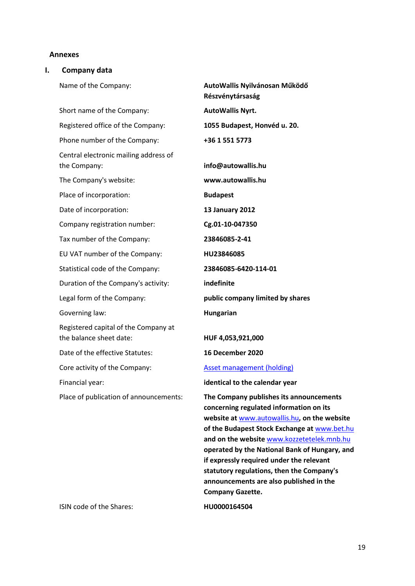#### **Annexes**

#### **I. Company data**

Name of the Company: **AutoWallis Nyilvánosan Működő** 

Short name of the Company: **AutoWallis Nyrt.** Registered office of the Company: **1055 Budapest, Honvéd u. 20.** Phone number of the Company: **+36 1 551 5773** Central electronic mailing address of the Company: **info@autowallis.hu** The Company's website: **www.autowallis.hu** Place of incorporation: Date of incorporation: Company registration number: **Budapest** Tax number of the Company: **23846085-2-41** EU VAT number of the Company: **HU23846085** Statistical code of the Company: **23846085-6420-114-01** Duration of the Company's activity: **indefinite** Legal form of the Company: **public company limited by shares** Governing law: **Hungarian** Registered capital of the Company at the balance sheet date: **HUF 4,053,921,000** Date of the effective Statutes: **16 December 2020** Core activity of the Company: [Asset management](http://portal.ksh.hu/pls/portal/vb.teaor_main.teaor08_fa##) (holding)

ISIN code of the Shares: **HU0000164504**

**Részvénytársaság 13 January 2012 Cg.01-10-047350**

Financial year: **identical to the calendar year**

Place of publication of announcements: **The Company publishes its announcements concerning regulated information on its website at** [www.autowallis.hu](http://www.autowallis.hu/)**, on the website of the Budapest Stock Exchange at** [www.bet.hu](http://www.bet.hu/) **and on the website** [www.kozzetetelek.mnb.hu](http://www.kozzetetelek.mnb.hu/) **operated by the National Bank of Hungary, and if expressly required under the relevant statutory regulations, then the Company's announcements are also published in the Company Gazette.**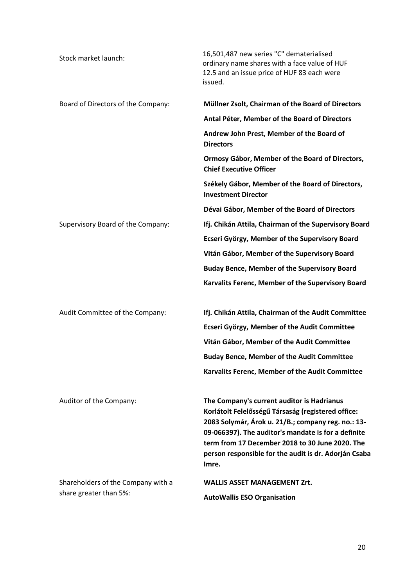| Stock market launch:               | 16,501,487 new series "C" dematerialised<br>ordinary name shares with a face value of HUF<br>12.5 and an issue price of HUF 83 each were<br>issued.                                                                                                                                                                                |
|------------------------------------|------------------------------------------------------------------------------------------------------------------------------------------------------------------------------------------------------------------------------------------------------------------------------------------------------------------------------------|
| Board of Directors of the Company: | Müllner Zsolt, Chairman of the Board of Directors                                                                                                                                                                                                                                                                                  |
|                                    | Antal Péter, Member of the Board of Directors                                                                                                                                                                                                                                                                                      |
|                                    | Andrew John Prest, Member of the Board of<br><b>Directors</b>                                                                                                                                                                                                                                                                      |
|                                    | Ormosy Gábor, Member of the Board of Directors,<br><b>Chief Executive Officer</b>                                                                                                                                                                                                                                                  |
|                                    | Székely Gábor, Member of the Board of Directors,<br><b>Investment Director</b>                                                                                                                                                                                                                                                     |
|                                    | Dévai Gábor, Member of the Board of Directors                                                                                                                                                                                                                                                                                      |
| Supervisory Board of the Company:  | Ifj. Chikán Attila, Chairman of the Supervisory Board                                                                                                                                                                                                                                                                              |
|                                    | <b>Ecseri György, Member of the Supervisory Board</b>                                                                                                                                                                                                                                                                              |
|                                    | Vitán Gábor, Member of the Supervisory Board                                                                                                                                                                                                                                                                                       |
|                                    | <b>Buday Bence, Member of the Supervisory Board</b>                                                                                                                                                                                                                                                                                |
|                                    | Karvalits Ferenc, Member of the Supervisory Board                                                                                                                                                                                                                                                                                  |
| Audit Committee of the Company:    | Ifj. Chikán Attila, Chairman of the Audit Committee                                                                                                                                                                                                                                                                                |
|                                    | <b>Ecseri György, Member of the Audit Committee</b>                                                                                                                                                                                                                                                                                |
|                                    | Vitán Gábor, Member of the Audit Committee                                                                                                                                                                                                                                                                                         |
|                                    | <b>Buday Bence, Member of the Audit Committee</b>                                                                                                                                                                                                                                                                                  |
|                                    | Karvalits Ferenc, Member of the Audit Committee                                                                                                                                                                                                                                                                                    |
| Auditor of the Company:            | The Company's current auditor is Hadrianus<br>Korlátolt Felelősségű Társaság (registered office:<br>2083 Solymár, Árok u. 21/B.; company reg. no.: 13-<br>09-066397). The auditor's mandate is for a definite<br>term from 17 December 2018 to 30 June 2020. The<br>person responsible for the audit is dr. Adorján Csaba<br>Imre. |
| Shareholders of the Company with a | <b>WALLIS ASSET MANAGEMENT Zrt.</b>                                                                                                                                                                                                                                                                                                |
| share greater than 5%:             | <b>AutoWallis ESO Organisation</b>                                                                                                                                                                                                                                                                                                 |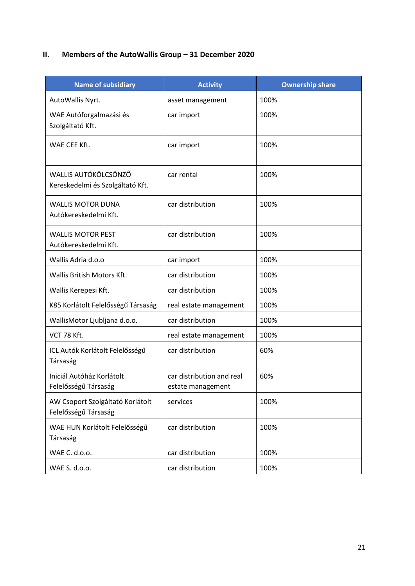## **II.** Members of the AutoWallis Group - 31 December 2020

| <b>Name of subsidiary</b>                                | <b>Activity</b>                                | <b>Ownership share</b> |
|----------------------------------------------------------|------------------------------------------------|------------------------|
| AutoWallis Nyrt.                                         | asset management                               | 100%                   |
| WAE Autóforgalmazási és<br>Szolgáltató Kft.              | car import                                     | 100%                   |
| WAE CEE Kft.                                             | car import                                     | 100%                   |
| WALLIS AUTÓKÖLCSÖNZŐ<br>Kereskedelmi és Szolgáltató Kft. | car rental                                     | 100%                   |
| <b>WALLIS MOTOR DUNA</b><br>Autókereskedelmi Kft.        | car distribution                               | 100%                   |
| <b>WALLIS MOTOR PEST</b><br>Autókereskedelmi Kft.        | car distribution                               | 100%                   |
| Wallis Adria d.o.o                                       | car import                                     | 100%                   |
| Wallis British Motors Kft.                               | car distribution                               | 100%                   |
| Wallis Kerepesi Kft.                                     | car distribution                               | 100%                   |
| K85 Korlátolt Felelősségű Társaság                       | real estate management                         | 100%                   |
| WallisMotor Ljubljana d.o.o.                             | car distribution                               | 100%                   |
| VCT 78 Kft.                                              | real estate management                         | 100%                   |
| ICL Autók Korlátolt Felelősségű<br>Társaság              | car distribution                               | 60%                    |
| Iniciál Autóház Korlátolt<br>Felelősségű Társaság        | car distribution and real<br>estate management | 60%                    |
| AW Csoport Szolgáltató Korlátolt<br>Felelősségű Társaság | services                                       | 100%                   |
| WAE HUN Korlátolt Felelősségű<br>Társaság                | car distribution                               | 100%                   |
| WAE C. d.o.o.                                            | car distribution                               | 100%                   |
| WAE S. d.o.o.                                            | car distribution                               | 100%                   |